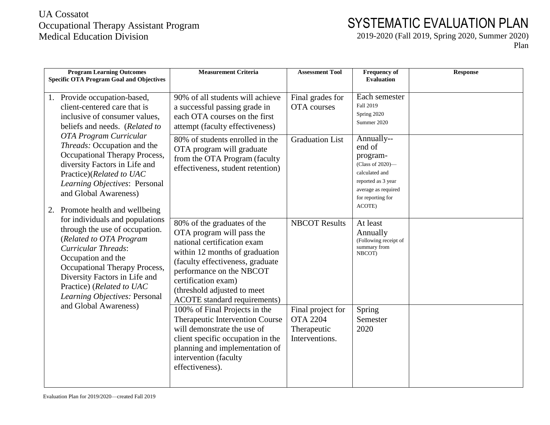## UA Cossatot Occupational Therapy Assistant Program Medical Education Division

## SYSTEMATIC EVALUATION PLAN

2019-2020 (Fall 2019, Spring 2020, Summer 2020)

Plan

| <b>Program Learning Outcomes</b><br><b>Specific OTA Program Goal and Objectives</b>                                                                                                                                                                                              | <b>Measurement Criteria</b>                                                                                                                                                                                                                                                            | <b>Assessment Tool</b>                                                | <b>Frequency of</b><br><b>Evaluation</b>                                                                                                           | <b>Response</b> |
|----------------------------------------------------------------------------------------------------------------------------------------------------------------------------------------------------------------------------------------------------------------------------------|----------------------------------------------------------------------------------------------------------------------------------------------------------------------------------------------------------------------------------------------------------------------------------------|-----------------------------------------------------------------------|----------------------------------------------------------------------------------------------------------------------------------------------------|-----------------|
| Provide occupation-based,<br>1.<br>client-centered care that is<br>inclusive of consumer values,<br>beliefs and needs. (Related to                                                                                                                                               | 90% of all students will achieve<br>a successful passing grade in<br>each OTA courses on the first<br>attempt (faculty effectiveness)                                                                                                                                                  | Final grades for<br>OTA courses                                       | Each semester<br>Fall 2019<br>Spring 2020<br>Summer 2020                                                                                           |                 |
| OTA Program Curricular<br>Threads: Occupation and the<br>Occupational Therapy Process,<br>diversity Factors in Life and<br>Practice)(Related to UAC<br>Learning Objectives: Personal<br>and Global Awareness)<br>Promote health and wellbeing<br>2.                              | 80% of students enrolled in the<br>OTA program will graduate<br>from the OTA Program (faculty<br>effectiveness, student retention)                                                                                                                                                     | <b>Graduation List</b>                                                | Annually--<br>end of<br>program-<br>(Class of 2020)-<br>calculated and<br>reported as 3 year<br>average as required<br>for reporting for<br>ACOTE) |                 |
| for individuals and populations<br>through the use of occupation.<br>(Related to OTA Program<br><b>Curricular Threads:</b><br>Occupation and the<br>Occupational Therapy Process,<br>Diversity Factors in Life and<br>Practice) (Related to UAC<br>Learning Objectives: Personal | 80% of the graduates of the<br>OTA program will pass the<br>national certification exam<br>within 12 months of graduation<br>(faculty effectiveness, graduate<br>performance on the NBCOT<br>certification exam)<br>(threshold adjusted to meet<br><b>ACOTE</b> standard requirements) | <b>NBCOT Results</b>                                                  | At least<br>Annually<br>(Following receipt of<br>summary from<br>NBCOT)                                                                            |                 |
| and Global Awareness)                                                                                                                                                                                                                                                            | 100% of Final Projects in the<br>Therapeutic Intervention Course<br>will demonstrate the use of<br>client specific occupation in the<br>planning and implementation of<br>intervention (faculty<br>effectiveness).                                                                     | Final project for<br><b>OTA 2204</b><br>Therapeutic<br>Interventions. | Spring<br>Semester<br>2020                                                                                                                         |                 |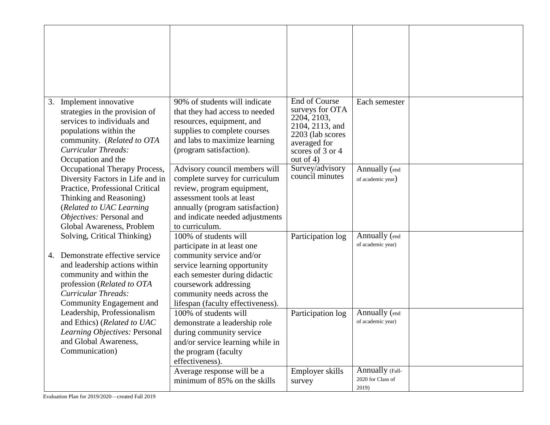| Implement innovative<br>3.<br>strategies in the provision of<br>services to individuals and<br>populations within the<br>community. (Related to OTA<br>Curricular Threads:<br>Occupation and the                     | 90% of students will indicate<br>that they had access to needed<br>resources, equipment, and<br>supplies to complete courses<br>and labs to maximize learning<br>(program satisfaction).                                                      | <b>End of Course</b><br>surveys for OTA<br>2204, 2103,<br>2104, 2113, and<br>2203 (lab scores<br>averaged for<br>scores of 3 or 4<br>out of $4$ ) | Each semester                                 |  |
|----------------------------------------------------------------------------------------------------------------------------------------------------------------------------------------------------------------------|-----------------------------------------------------------------------------------------------------------------------------------------------------------------------------------------------------------------------------------------------|---------------------------------------------------------------------------------------------------------------------------------------------------|-----------------------------------------------|--|
| Occupational Therapy Process,<br>Diversity Factors in Life and in<br>Practice, Professional Critical<br>Thinking and Reasoning)<br>(Related to UAC Learning<br>Objectives: Personal and<br>Global Awareness, Problem | Advisory council members will<br>complete survey for curriculum<br>review, program equipment,<br>assessment tools at least<br>annually (program satisfaction)<br>and indicate needed adjustments<br>to curriculum.                            | Survey/advisory<br>council minutes                                                                                                                | Annually (end<br>of academic year)            |  |
| Solving, Critical Thinking)<br>Demonstrate effective service<br>4.<br>and leadership actions within<br>community and within the<br>profession (Related to OTA<br>Curricular Threads:<br>Community Engagement and     | 100% of students will<br>participate in at least one<br>community service and/or<br>service learning opportunity<br>each semester during didactic<br>coursework addressing<br>community needs across the<br>lifespan (faculty effectiveness). | Participation log                                                                                                                                 | Annually (end<br>of academic year)            |  |
| Leadership, Professionalism<br>and Ethics) (Related to UAC<br>Learning Objectives: Personal<br>and Global Awareness,<br>Communication)                                                                               | 100% of students will<br>demonstrate a leadership role<br>during community service<br>and/or service learning while in<br>the program (faculty<br>effectiveness).                                                                             | Participation log                                                                                                                                 | Annually (end<br>of academic year)            |  |
|                                                                                                                                                                                                                      | Average response will be a<br>minimum of 85% on the skills                                                                                                                                                                                    | Employer skills<br>survey                                                                                                                         | Annually (Fall-<br>2020 for Class of<br>2019) |  |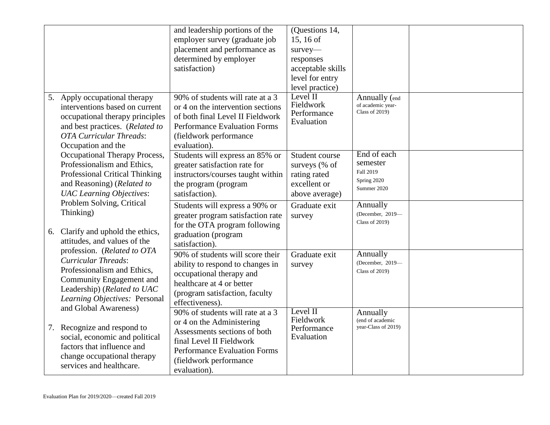|    |                                                                                                                                                                                                        | and leadership portions of the                                                                                                                                                                             | (Questions 14,                                                                    |                                                                    |  |
|----|--------------------------------------------------------------------------------------------------------------------------------------------------------------------------------------------------------|------------------------------------------------------------------------------------------------------------------------------------------------------------------------------------------------------------|-----------------------------------------------------------------------------------|--------------------------------------------------------------------|--|
|    |                                                                                                                                                                                                        | employer survey (graduate job                                                                                                                                                                              | 15, 16 of                                                                         |                                                                    |  |
|    |                                                                                                                                                                                                        | placement and performance as                                                                                                                                                                               | survey-                                                                           |                                                                    |  |
|    |                                                                                                                                                                                                        | determined by employer                                                                                                                                                                                     | responses                                                                         |                                                                    |  |
|    |                                                                                                                                                                                                        | satisfaction)                                                                                                                                                                                              | acceptable skills                                                                 |                                                                    |  |
|    |                                                                                                                                                                                                        |                                                                                                                                                                                                            | level for entry                                                                   |                                                                    |  |
|    |                                                                                                                                                                                                        |                                                                                                                                                                                                            | level practice)                                                                   |                                                                    |  |
|    | 5. Apply occupational therapy<br>interventions based on current<br>occupational therapy principles<br>and best practices. (Related to<br><b>OTA Curricular Threads:</b><br>Occupation and the          | 90% of students will rate at a 3<br>or 4 on the intervention sections<br>of both final Level II Fieldwork<br><b>Performance Evaluation Forms</b><br>(fieldwork performance<br>evaluation).                 | Level $\Pi$<br>Fieldwork<br>Performance<br>Evaluation                             | Annually (end<br>of academic year-<br><b>Class of 2019)</b>        |  |
|    | Occupational Therapy Process,<br>Professionalism and Ethics,<br>Professional Critical Thinking<br>and Reasoning) (Related to<br><b>UAC</b> Learning Objectives:                                        | Students will express an 85% or<br>greater satisfaction rate for<br>instructors/courses taught within<br>the program (program<br>satisfaction).                                                            | Student course<br>surveys (% of<br>rating rated<br>excellent or<br>above average) | End of each<br>semester<br>Fall 2019<br>Spring 2020<br>Summer 2020 |  |
| 6. | Problem Solving, Critical<br>Thinking)<br>Clarify and uphold the ethics,                                                                                                                               | Students will express a 90% or<br>greater program satisfaction rate<br>for the OTA program following<br>graduation (program                                                                                | Graduate exit<br>survey                                                           | Annually<br>(December, 2019-<br><b>Class of 2019)</b>              |  |
|    | attitudes, and values of the                                                                                                                                                                           | satisfaction).                                                                                                                                                                                             |                                                                                   |                                                                    |  |
|    | profession. (Related to OTA<br>Curricular Threads:<br>Professionalism and Ethics,<br>Community Engagement and<br>Leadership) (Related to UAC<br>Learning Objectives: Personal<br>and Global Awareness) | 90% of students will score their<br>ability to respond to changes in<br>occupational therapy and<br>healthcare at 4 or better<br>(program satisfaction, faculty<br>effectiveness).                         | Graduate exit<br>survey                                                           | Annually<br>(December, 2019-<br><b>Class of 2019)</b>              |  |
| 7. | Recognize and respond to<br>social, economic and political<br>factors that influence and<br>change occupational therapy<br>services and healthcare.                                                    | 90% of students will rate at a 3<br>or 4 on the Administering<br>Assessments sections of both<br>final Level II Fieldwork<br><b>Performance Evaluation Forms</b><br>(fieldwork performance<br>evaluation). | Level II<br>Fieldwork<br>Performance<br>Evaluation                                | Annually<br>(end of academic<br>year-Class of 2019)                |  |